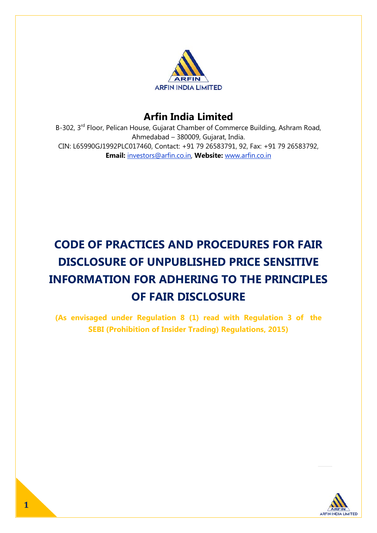

## **Arfin India Limited**

B-302, 3<sup>rd</sup> Floor, Pelican House, Gujarat Chamber of Commerce Building, Ashram Road, Ahmedabad – 380009, Gujarat, India. CIN: L65990GJ1992PLC017460, Contact: +91 79 26583791, 92, Fax: +91 79 26583792, **Email:** investors@arfin.co.in, **Website:** www.arfin.co.in

# **CODE OF PRACTICES AND PROCEDURES FOR FAIR DISCLOSURE OF UNPUBLISHED PRICE SENSITIVE INFORMATION FOR ADHERING TO THE PRINCIPLES OF FAIR DISCLOSURE**

**(As envisaged under Regulation 8 (1) read with Regulation 3 of the SEBI (Prohibition of Insider Trading) Regulations, 2015)**

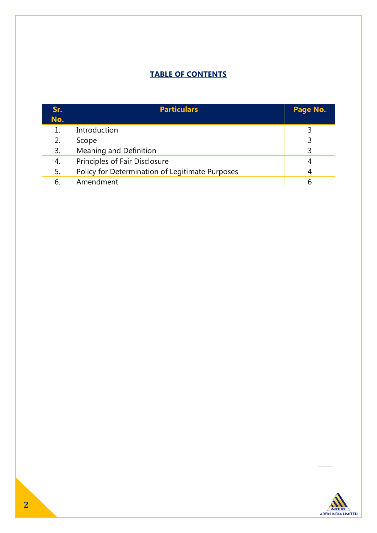## **TABLE OF CONTENTS**

| Sr.<br>No. | <b>Particulars</b>                              | Page No. |
|------------|-------------------------------------------------|----------|
|            | Introduction                                    |          |
| 2.         | Scope                                           |          |
| 3.         | Meaning and Definition                          |          |
| 4.         | Principles of Fair Disclosure                   | 4        |
| 5.         | Policy for Determination of Legitimate Purposes | 4        |
| 6.         | Amendment                                       | 6        |

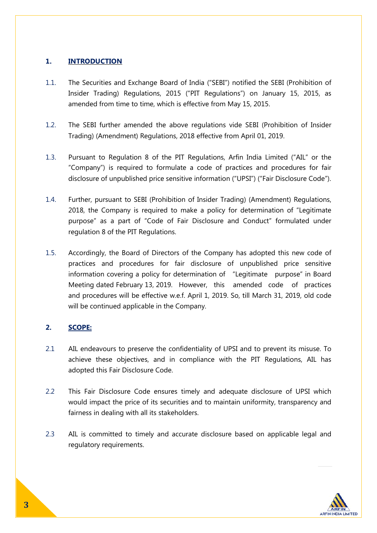## **1. INTRODUCTION**

- 1.1. The Securities and Exchange Board of India ("SEBI") notified the SEBI (Prohibition of Insider Trading) Regulations, 2015 ("PIT Regulations") on January 15, 2015, as amended from time to time, which is effective from May 15, 2015.
- 1.2. The SEBI further amended the above regulations vide SEBI (Prohibition of Insider Trading) (Amendment) Regulations, 2018 effective from April 01, 2019.
- 1.3. Pursuant to Regulation 8 of the PIT Regulations, Arfin India Limited ("AIL" or the "Company") is required to formulate a code of practices and procedures for fair disclosure of unpublished price sensitive information ("UPSI") ("Fair Disclosure Code").
- 1.4. Further, pursuant to SEBI (Prohibition of Insider Trading) (Amendment) Regulations, 2018, the Company is required to make a policy for determination of "Legitimate purpose" as a part of "Code of Fair Disclosure and Conduct" formulated under regulation 8 of the PIT Regulations.
- 1.5. Accordingly, the Board of Directors of the Company has adopted this new code of practices and procedures for fair disclosure of unpublished price sensitive information covering a policy for determination of "Legitimate purpose" in Board Meeting dated February 13, 2019. However, this amended code of practices and procedures will be effective w.e.f. April 1, 2019. So, till March 31, 2019, old code will be continued applicable in the Company.

## **2. SCOPE:**

- 2.1 AIL endeavours to preserve the confidentiality of UPSI and to prevent its misuse. To achieve these objectives, and in compliance with the PIT Regulations, AIL has adopted this Fair Disclosure Code.
- 2.2 This Fair Disclosure Code ensures timely and adequate disclosure of UPSI which would impact the price of its securities and to maintain uniformity, transparency and fairness in dealing with all its stakeholders.
- 2.3 AIL is committed to timely and accurate disclosure based on applicable legal and regulatory requirements.

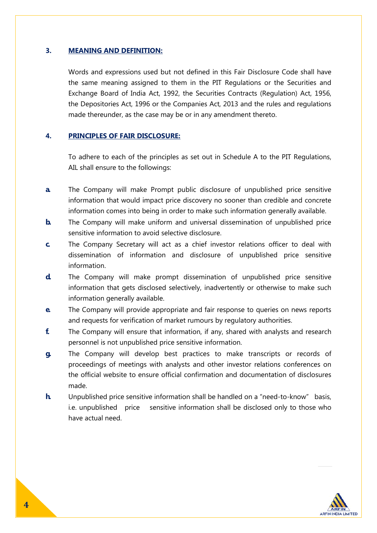## **3. MEANING AND DEFINITION:**

Words and expressions used but not defined in this Fair Disclosure Code shall have the same meaning assigned to them in the PIT Regulations or the Securities and Exchange Board of India Act, 1992, the Securities Contracts (Regulation) Act, 1956, the Depositories Act, 1996 or the Companies Act, 2013 and the rules and regulations made thereunder, as the case may be or in any amendment thereto.

## **4. PRINCIPLES OF FAIR DISCLOSURE:**

To adhere to each of the principles as set out in Schedule A to the PIT Regulations, AIL shall ensure to the followings:

- **a.** The Company will make Prompt public disclosure of unpublished price sensitive information that would impact price discovery no sooner than credible and concrete information comes into being in order to make such information generally available.
- **b.** The Company will make uniform and universal dissemination of unpublished price sensitive information to avoid selective disclosure.
- **c.** The Company Secretary will act as a chief investor relations officer to deal with dissemination of information and disclosure of unpublished price sensitive information.
- **d.** The Company will make prompt dissemination of unpublished price sensitive information that gets disclosed selectively, inadvertently or otherwise to make such information generally available.
- **e.** The Company will provide appropriate and fair response to queries on news reports and requests for verification of market rumours by regulatory authorities.
- **f.** The Company will ensure that information, if any, shared with analysts and research personnel is not unpublished price sensitive information.
- **g.** The Company will develop best practices to make transcripts or records of proceedings of meetings with analysts and other investor relations conferences on the official website to ensure official confirmation and documentation of disclosures made.
- **h.** Unpublished price sensitive information shall be handled on a "need-to-know" basis, i.e. unpublished price sensitive information shall be disclosed only to those who have actual need.

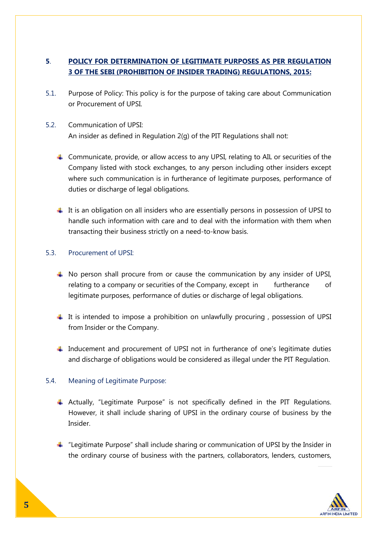## **5**. **POLICY FOR DETERMINATION OF LEGITIMATE PURPOSES AS PER REGULATION 3 OF THE SEBI (PROHIBITION OF INSIDER TRADING) REGULATIONS, 2015:**

- 5.1. Purpose of Policy: This policy is for the purpose of taking care about Communication or Procurement of UPSI.
- 5.2. Communication of UPSI: An insider as defined in Regulation 2(g) of the PIT Regulations shall not:
	- $\triangleq$  Communicate, provide, or allow access to any UPSI, relating to AIL or securities of the Company listed with stock exchanges, to any person including other insiders except where such communication is in furtherance of legitimate purposes, performance of duties or discharge of legal obligations.
	- $\ddot{\phantom{1}}$  It is an obligation on all insiders who are essentially persons in possession of UPSI to handle such information with care and to deal with the information with them when transacting their business strictly on a need-to-know basis.

## 5.3. Procurement of UPSI:

- $\uparrow$  No person shall procure from or cause the communication by any insider of UPSI, relating to a company or securities of the Company, except in furtherance of legitimate purposes, performance of duties or discharge of legal obligations.
- $\pm$  It is intended to impose a prohibition on unlawfully procuring, possession of UPSI from Insider or the Company.
- $\ddot{\phantom{1}}$  Inducement and procurement of UPSI not in furtherance of one's legitimate duties and discharge of obligations would be considered as illegal under the PIT Regulation.

## 5.4. Meaning of Legitimate Purpose:

- $\triangleq$  Actually, "Legitimate Purpose" is not specifically defined in the PIT Regulations. However, it shall include sharing of UPSI in the ordinary course of business by the Insider.
- $\ddot{\phantom{1}}$  "Legitimate Purpose" shall include sharing or communication of UPSI by the Insider in the ordinary course of business with the partners, collaborators, lenders, customers,

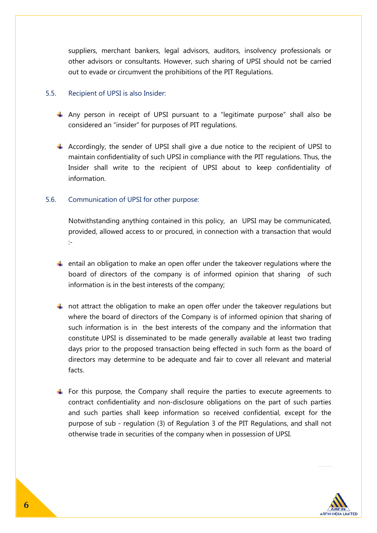suppliers, merchant bankers, legal advisors, auditors, insolvency professionals or other advisors or consultants. However, such sharing of UPSI should not be carried out to evade or circumvent the prohibitions of the PIT Regulations.

#### 5.5. Recipient of UPSI is also Insider:

- $\overline{\phantom{a}}$  Any person in receipt of UPSI pursuant to a "legitimate purpose" shall also be considered an "insider" for purposes of PIT regulations.
- $\ddot{+}$  Accordingly, the sender of UPSI shall give a due notice to the recipient of UPSI to maintain confidentiality of such UPSI in compliance with the PIT regulations. Thus, the Insider shall write to the recipient of UPSI about to keep confidentiality of information.

## 5.6. Communication of UPSI for other purpose:

Notwithstanding anything contained in this policy, an UPSI may be communicated, provided, allowed access to or procured, in connection with a transaction that would :-

- $\ddot{\phantom{1}}$  entail an obligation to make an open offer under the takeover regulations where the board of directors of the company is of informed opinion that sharing of such information is in the best interests of the company;
- $\ddot{\phantom{1}}$  not attract the obligation to make an open offer under the takeover regulations but where the board of directors of the Company is of informed opinion that sharing of such information is in the best interests of the company and the information that constitute UPSI is disseminated to be made generally available at least two trading days prior to the proposed transaction being effected in such form as the board of directors may determine to be adequate and fair to cover all relevant and material facts.
- For this purpose, the Company shall require the parties to execute agreements to contract confidentiality and non-disclosure obligations on the part of such parties and such parties shall keep information so received confidential, except for the purpose of sub - regulation (3) of Regulation 3 of the PIT Regulations, and shall not otherwise trade in securities of the company when in possession of UPSI.